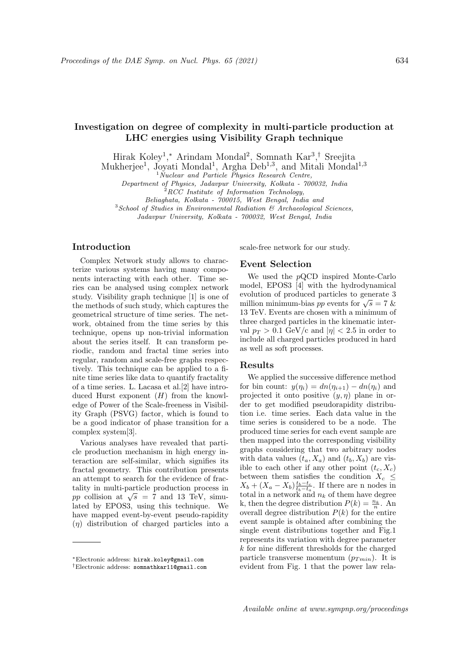# Investigation on degree of complexity in multi-particle production at LHC energies using Visibility Graph technique

Hirak Koley<sup>1</sup>,\* Arindam Mondal<sup>2</sup>, Somnath Kar<sup>3</sup>,<sup>†</sup> Sreejita

Mukherjee<sup>1</sup>, Joyati Mondal<sup>1</sup>, Argha Deb<sup>1,3</sup>, and Mitali Mondal<sup>1,3</sup>

<sup>1</sup>Nuclear and Particle Physics Research Centre,

Department of Physics, Jadavpur University, Kolkata - 700032, India

 $RCC$  Institute of Information Technology,

Beliaghata, Kolkata - 700015, West Bengal, India and

 $3$ School of Studies in Environmental Radiation  $\mathcal{B}$  Archaeological Sciences,

Jadavpur University, Kolkata - 700032, West Bengal, India

# Introduction

Complex Network study allows to characterize various systems having many components interacting with each other. Time series can be analysed using complex network study. Visibility graph technique [1] is one of the methods of such study, which captures the geometrical structure of time series. The network, obtained from the time series by this technique, opens up non-trivial information about the series itself. It can transform periodic, random and fractal time series into regular, random and scale-free graphs respectively. This technique can be applied to a finite time series like data to quantify fractality of a time series. L. Lacasa et al.[2] have introduced Hurst exponent  $(H)$  from the knowledge of Power of the Scale-freeness in Visibility Graph (PSVG) factor, which is found to be a good indicator of phase transition for a complex system[3].

Various analyses have revealed that particle production mechanism in high energy interaction are self-similar, which signifies its fractal geometry. This contribution presents an attempt to search for the evidence of fractality in multi-particle production process in  $p$  collision at  $\sqrt{s}$  = 7 and 13 TeV, simulated by EPOS3, using this technique. We have mapped event-by-event pseudo-rapidity  $(\eta)$  distribution of charged particles into a scale-free network for our study.

## Event Selection

We used the pQCD inspired Monte-Carlo model, EPOS3 [4] with the hydrodynamical evolution of produced particles to generate 3 evolution of produced particles to generate 5 million minimum-bias *pp* events for  $\sqrt{s} = 7$  & 13 TeV. Events are chosen with a minimum of three charged particles in the kinematic interval  $p_T > 0.1$  GeV/c and  $|\eta| < 2.5$  in order to include all charged particles produced in hard as well as soft processes.

#### Results

We applied the successive difference method for bin count:  $y(\eta_i) = dn(\eta_{i+1}) - dn(\eta_i)$  and projected it onto positive  $(y, \eta)$  plane in order to get modified pseudorapidity distribution i.e. time series. Each data value in the time series is considered to be a node. The produced time series for each event sample are then mapped into the corresponding visibility graphs considering that two arbitrary nodes with data values  $(t_a, X_a)$  and  $(t_b, X_b)$  are visible to each other if any other point  $(t_c, X_c)$ between them satisfies the condition  $X_c \leq$  $X_b + (X_a - X_b) \frac{t_b - t_c}{t_b - t_a}$ . If there are n nodes in total in a network and  $n_k$  of them have degree k, then the degree distribution  $P(k) = \frac{n_k}{n}$ . An overall degree distribution  $P(k)$  for the entire event sample is obtained after combining the single event distributions together and Fig.1 represents its variation with degree parameter  $\boldsymbol{k}$  for nine different thresholds for the charged particle transverse momentum  $(p_{Tmin})$ . It is evident from Fig. 1 that the power law rela-

<sup>∗</sup>Electronic address: hirak.koley@gmail.com

<sup>†</sup>Electronic address: somnathkar11@gmail.com